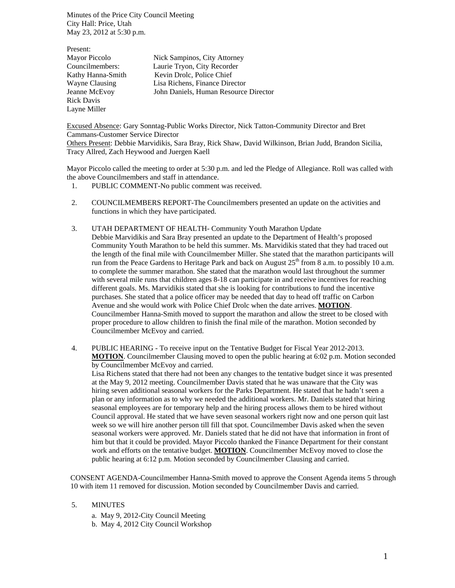Minutes of the Price City Council Meeting City Hall: Price, Utah May 23, 2012 at 5:30 p.m.

| Present:          |                                       |
|-------------------|---------------------------------------|
| Mayor Piccolo     | Nick Sampinos, City Attorney          |
| Councilmembers:   | Laurie Tryon, City Recorder           |
| Kathy Hanna-Smith | Kevin Drolc, Police Chief             |
| Wayne Clausing    | Lisa Richens, Finance Director        |
| Jeanne McEvoy     | John Daniels, Human Resource Director |
| <b>Rick Davis</b> |                                       |
| Layne Miller      |                                       |

Excused Absence: Gary Sonntag-Public Works Director, Nick Tatton-Community Director and Bret Cammans-Customer Service Director

Others Present: Debbie Marvidikis, Sara Bray, Rick Shaw, David Wilkinson, Brian Judd, Brandon Sicilia, Tracy Allred, Zach Heywood and Juergen Kaell

Mayor Piccolo called the meeting to order at 5:30 p.m. and led the Pledge of Allegiance. Roll was called with the above Councilmembers and staff in attendance.

- 1. PUBLIC COMMENT-No public comment was received.
- 2. COUNCILMEMBERS REPORT-The Councilmembers presented an update on the activities and functions in which they have participated.
- 3. UTAH DEPARTMENT OF HEALTH- Community Youth Marathon Update Debbie Marvidikis and Sara Bray presented an update to the Department of Health's proposed Community Youth Marathon to be held this summer. Ms. Marvidikis stated that they had traced out the length of the final mile with Councilmember Miller. She stated that the marathon participants will run from the Peace Gardens to Heritage Park and back on August 25<sup>th</sup> from 8 a.m. to possibly 10 a.m. to complete the summer marathon. She stated that the marathon would last throughout the summer with several mile runs that children ages 8-18 can participate in and receive incentives for reaching different goals. Ms. Marvidikis stated that she is looking for contributions to fund the incentive purchases. She stated that a police officer may be needed that day to head off traffic on Carbon Avenue and she would work with Police Chief Drolc when the date arrives. **MOTION**. Councilmember Hanna-Smith moved to support the marathon and allow the street to be closed with proper procedure to allow children to finish the final mile of the marathon. Motion seconded by Councilmember McEvoy and carried.
- 4. PUBLIC HEARING To receive input on the Tentative Budget for Fiscal Year 2012-2013. **MOTION**. Councilmember Clausing moved to open the public hearing at 6:02 p.m. Motion seconded by Councilmember McEvoy and carried.

Lisa Richens stated that there had not been any changes to the tentative budget since it was presented at the May 9, 2012 meeting. Councilmember Davis stated that he was unaware that the City was hiring seven additional seasonal workers for the Parks Department. He stated that he hadn't seen a plan or any information as to why we needed the additional workers. Mr. Daniels stated that hiring seasonal employees are for temporary help and the hiring process allows them to be hired without Council approval. He stated that we have seven seasonal workers right now and one person quit last week so we will hire another person till fill that spot. Councilmember Davis asked when the seven seasonal workers were approved. Mr. Daniels stated that he did not have that information in front of him but that it could be provided. Mayor Piccolo thanked the Finance Department for their constant work and efforts on the tentative budget. **MOTION**. Councilmember McEvoy moved to close the public hearing at 6:12 p.m. Motion seconded by Councilmember Clausing and carried.

CONSENT AGENDA-Councilmember Hanna-Smith moved to approve the Consent Agenda items 5 through 10 with item 11 removed for discussion. Motion seconded by Councilmember Davis and carried.

- 5. MINUTES
	- a. May 9, 2012-City Council Meeting
	- b. May 4, 2012 City Council Workshop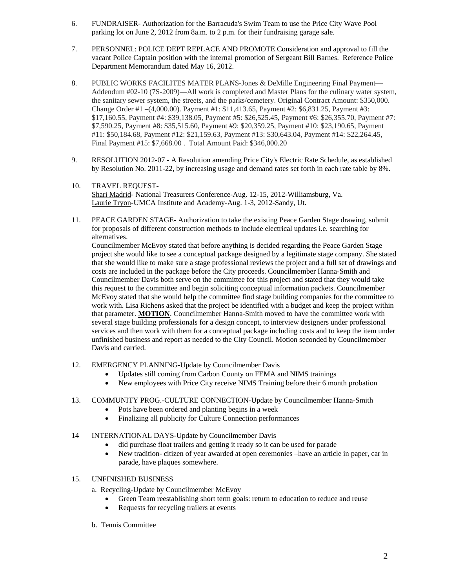- 6. FUNDRAISER- Authorization for the Barracuda's Swim Team to use the Price City Wave Pool parking lot on June 2, 2012 from 8a.m. to 2 p.m. for their fundraising garage sale.
- 7. PERSONNEL: POLICE DEPT REPLACE AND PROMOTE Consideration and approval to fill the vacant Police Captain position with the internal promotion of Sergeant Bill Barnes. Reference Police Department Memorandum dated May 16, 2012.
- 8. PUBLIC WORKS FACILITES MATER PLANS-Jones & DeMille Engineering Final Payment— Addendum #02-10 (7S-2009)—All work is completed and Master Plans for the culinary water system, the sanitary sewer system, the streets, and the parks/cemetery. Original Contract Amount: \$350,000. Change Order #1 –(4,000.00). Payment #1: \$11,413.65, Payment #2: \$6,831.25, Payment #3: \$17,160.55, Payment #4: \$39,138.05, Payment #5: \$26,525.45, Payment #6: \$26,355.70, Payment #7: \$7,590.25, Payment #8: \$35,515.60, Payment #9: \$20,359.25, Payment #10: \$23,190.65, Payment #11: \$50,184.68, Payment #12: \$21,159.63, Payment #13: \$30,643.04, Payment #14: \$22,264.45, Final Payment #15: \$7,668.00 . Total Amount Paid: \$346,000.20
- 9. RESOLUTION 2012-07 A Resolution amending Price City's Electric Rate Schedule, as established by Resolution No. 2011-22, by increasing usage and demand rates set forth in each rate table by 8%.
- 10. TRAVEL REQUEST-Shari Madrid- National Treasurers Conference-Aug. 12-15, 2012-Williamsburg, Va. Laurie Tryon-UMCA Institute and Academy-Aug. 1-3, 2012-Sandy, Ut.
- 11. PEACE GARDEN STAGE- Authorization to take the existing Peace Garden Stage drawing, submit for proposals of different construction methods to include electrical updates i.e. searching for alternatives.

Councilmember McEvoy stated that before anything is decided regarding the Peace Garden Stage project she would like to see a conceptual package designed by a legitimate stage company. She stated that she would like to make sure a stage professional reviews the project and a full set of drawings and costs are included in the package before the City proceeds. Councilmember Hanna-Smith and Councilmember Davis both serve on the committee for this project and stated that they would take this request to the committee and begin soliciting conceptual information packets. Councilmember McEvoy stated that she would help the committee find stage building companies for the committee to work with. Lisa Richens asked that the project be identified with a budget and keep the project within that parameter. **MOTION**. Councilmember Hanna-Smith moved to have the committee work with several stage building professionals for a design concept, to interview designers under professional services and then work with them for a conceptual package including costs and to keep the item under unfinished business and report as needed to the City Council. Motion seconded by Councilmember Davis and carried.

- 12. EMERGENCY PLANNING-Update by Councilmember Davis
	- Updates still coming from Carbon County on FEMA and NIMS trainings
	- New employees with Price City receive NIMS Training before their 6 month probation
- 13. COMMUNITY PROG.-CULTURE CONNECTION-Update by Councilmember Hanna-Smith
	- Pots have been ordered and planting begins in a week
	- Finalizing all publicity for Culture Connection performances
- 14 INTERNATIONAL DAYS-Update by Councilmember Davis
	- did purchase float trailers and getting it ready so it can be used for parade
	- New tradition- citizen of year awarded at open ceremonies –have an article in paper, car in parade, have plaques somewhere.
- 15. UNFINISHED BUSINESS
	- a. Recycling-Update by Councilmember McEvoy
		- Green Team reestablishing short term goals: return to education to reduce and reuse
		- Requests for recycling trailers at events
	- b. Tennis Committee